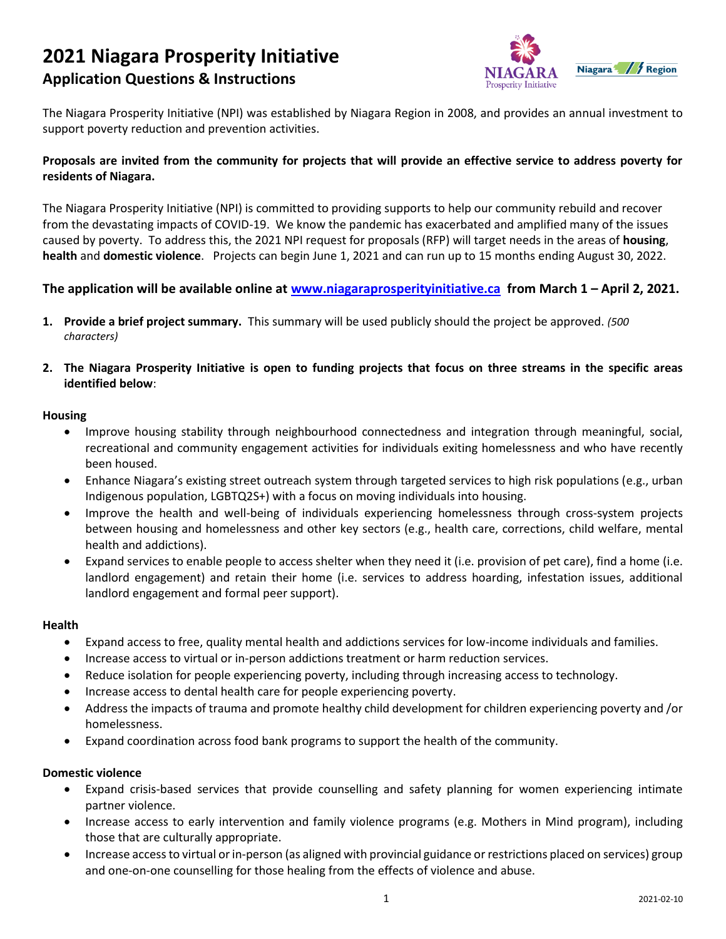# **2021 Niagara Prosperity Initiative Application Questions & Instructions**



The Niagara Prosperity Initiative (NPI) was established by Niagara Region in 2008, and provides an annual investment to support poverty reduction and prevention activities.

# **Proposals are invited from the community for projects that will provide an effective service to address poverty for residents of Niagara.**

The Niagara Prosperity Initiative (NPI) is committed to providing supports to help our community rebuild and recover from the devastating impacts of COVID-19. We know the pandemic has exacerbated and amplified many of the issues caused by poverty. To address this, the 2021 NPI request for proposals (RFP) will target needs in the areas of **housing**, **health** and **domestic violence**. Projects can begin June 1, 2021 and can run up to 15 months ending August 30, 2022.

# **The application will be available online at [www.niagaraprosperityinitiative.ca](http://www.niagaraprosperityinitiative.ca/) from March 1 – April 2, 2021.**

- **1. Provide a brief project summary.** This summary will be used publicly should the project be approved. *(500 characters)*
- **2. The Niagara Prosperity Initiative is open to funding projects that focus on three streams in the specific areas identified below**:

#### **Housing**

- Improve housing stability through neighbourhood connectedness and integration through meaningful, social, recreational and community engagement activities for individuals exiting homelessness and who have recently been housed.
- Enhance Niagara's existing street outreach system through targeted services to high risk populations (e.g., urban Indigenous population, LGBTQ2S+) with a focus on moving individuals into housing.
- Improve the health and well-being of individuals experiencing homelessness through cross-system projects between housing and homelessness and other key sectors (e.g., health care, corrections, child welfare, mental health and addictions).
- Expand services to enable people to access shelter when they need it (i.e. provision of pet care), find a home (i.e. landlord engagement) and retain their home (i.e. services to address hoarding, infestation issues, additional landlord engagement and formal peer support).

#### **Health**

- Expand access to free, quality mental health and addictions services for low-income individuals and families.
- Increase access to virtual or in-person addictions treatment or harm reduction services.
- Reduce isolation for people experiencing poverty, including through increasing access to technology.
- Increase access to dental health care for people experiencing poverty.
- Address the impacts of trauma and promote healthy child development for children experiencing poverty and /or homelessness.
- Expand coordination across food bank programs to support the health of the community.

# **Domestic violence**

- Expand crisis-based services that provide counselling and safety planning for women experiencing intimate partner violence.
- Increase access to early intervention and family violence programs (e.g. Mothers in Mind program), including those that are culturally appropriate.
- Increase access to virtual or in-person (as aligned with provincial guidance or restrictions placed on services) group and one-on-one counselling for those healing from the effects of violence and abuse.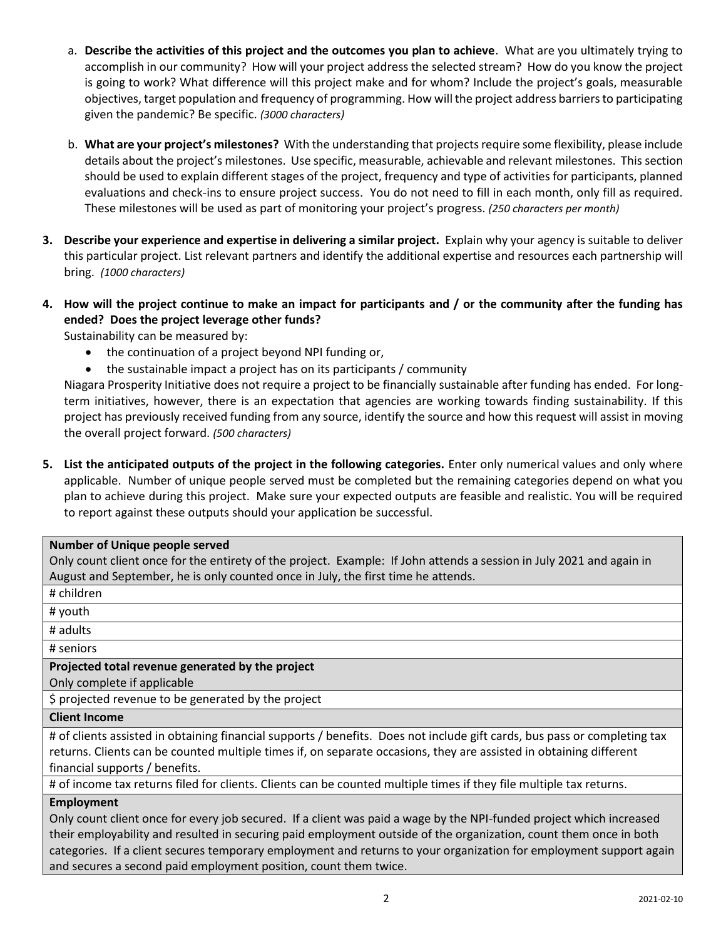- a. **Describe the activities of this project and the outcomes you plan to achieve**. What are you ultimately trying to accomplish in our community? How will your project address the selected stream? How do you know the project is going to work? What difference will this project make and for whom? Include the project's goals, measurable objectives, target population and frequency of programming. How will the project address barriers to participating given the pandemic? Be specific. *(3000 characters)*
- b. **What are your project's milestones?** With the understanding that projects require some flexibility, please include details about the project's milestones. Use specific, measurable, achievable and relevant milestones. This section should be used to explain different stages of the project, frequency and type of activities for participants, planned evaluations and check-ins to ensure project success. You do not need to fill in each month, only fill as required. These milestones will be used as part of monitoring your project's progress. *(250 characters per month)*
- **3. Describe your experience and expertise in delivering a similar project.** Explain why your agency is suitable to deliver this particular project. List relevant partners and identify the additional expertise and resources each partnership will bring. *(1000 characters)*
- **4. How will the project continue to make an impact for participants and / or the community after the funding has ended? Does the project leverage other funds?**

Sustainability can be measured by:

- the continuation of a project beyond NPI funding or,
- the sustainable impact a project has on its participants / community

Niagara Prosperity Initiative does not require a project to be financially sustainable after funding has ended. For longterm initiatives, however, there is an expectation that agencies are working towards finding sustainability. If this project has previously received funding from any source, identify the source and how this request will assist in moving the overall project forward. *(500 characters)*

**5. List the anticipated outputs of the project in the following categories.** Enter only numerical values and only where applicable. Number of unique people served must be completed but the remaining categories depend on what you plan to achieve during this project. Make sure your expected outputs are feasible and realistic. You will be required to report against these outputs should your application be successful.

#### **Number of Unique people served**

Only count client once for the entirety of the project. Example: If John attends a session in July 2021 and again in August and September, he is only counted once in July, the first time he attends.

# # children

# youth

# adults

# seniors

# **Projected total revenue generated by the project**

Only complete if applicable

\$ projected revenue to be generated by the project

#### **Client Income**

# of clients assisted in obtaining financial supports / benefits. Does not include gift cards, bus pass or completing tax returns. Clients can be counted multiple times if, on separate occasions, they are assisted in obtaining different financial supports / benefits.

# of income tax returns filed for clients. Clients can be counted multiple times if they file multiple tax returns.

#### **Employment**

Only count client once for every job secured. If a client was paid a wage by the NPI-funded project which increased their employability and resulted in securing paid employment outside of the organization, count them once in both categories. If a client secures temporary employment and returns to your organization for employment support again and secures a second paid employment position, count them twice.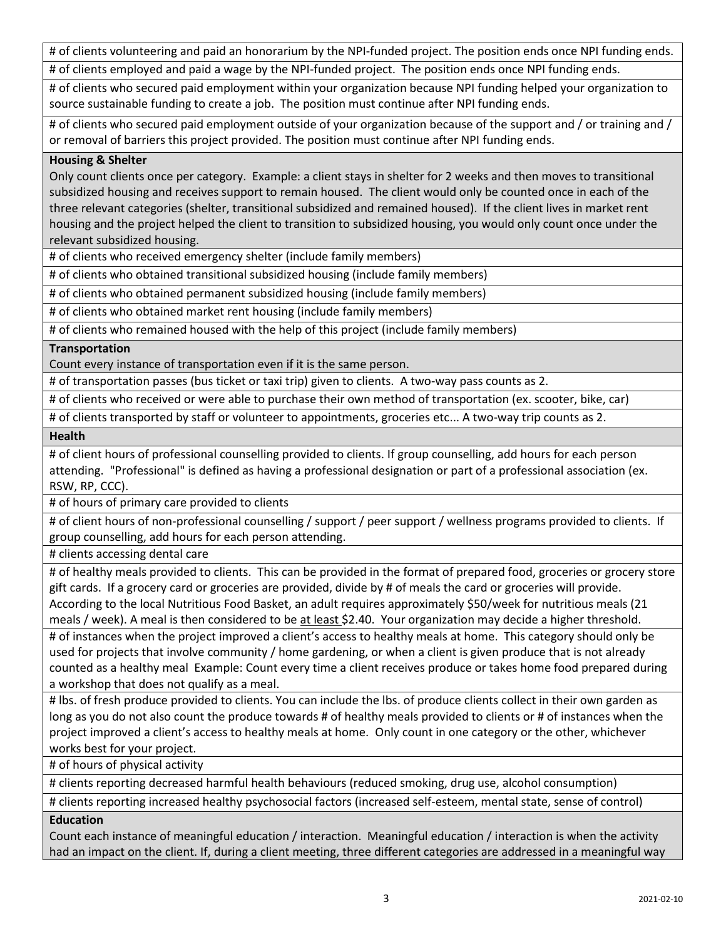# of clients volunteering and paid an honorarium by the NPI-funded project. The position ends once NPI funding ends.

# of clients employed and paid a wage by the NPI-funded project. The position ends once NPI funding ends.

# of clients who secured paid employment within your organization because NPI funding helped your organization to source sustainable funding to create a job. The position must continue after NPI funding ends.

# of clients who secured paid employment outside of your organization because of the support and / or training and / or removal of barriers this project provided. The position must continue after NPI funding ends.

# **Housing & Shelter**

Only count clients once per category. Example: a client stays in shelter for 2 weeks and then moves to transitional subsidized housing and receives support to remain housed. The client would only be counted once in each of the three relevant categories (shelter, transitional subsidized and remained housed). If the client lives in market rent housing and the project helped the client to transition to subsidized housing, you would only count once under the relevant subsidized housing.

# of clients who received emergency shelter (include family members)

# of clients who obtained transitional subsidized housing (include family members)

# of clients who obtained permanent subsidized housing (include family members)

# of clients who obtained market rent housing (include family members)

# of clients who remained housed with the help of this project (include family members)

# **Transportation**

Count every instance of transportation even if it is the same person.

# of transportation passes (bus ticket or taxi trip) given to clients. A two-way pass counts as 2.

# of clients who received or were able to purchase their own method of transportation (ex. scooter, bike, car)

# of clients transported by staff or volunteer to appointments, groceries etc... A two-way trip counts as 2.

**Health**

# of client hours of professional counselling provided to clients. If group counselling, add hours for each person attending. "Professional" is defined as having a professional designation or part of a professional association (ex. RSW, RP, CCC).

# of hours of primary care provided to clients

# of client hours of non-professional counselling / support / peer support / wellness programs provided to clients. If group counselling, add hours for each person attending.

# clients accessing dental care

# of healthy meals provided to clients. This can be provided in the format of prepared food, groceries or grocery store gift cards. If a grocery card or groceries are provided, divide by # of meals the card or groceries will provide. According to the local Nutritious Food Basket, an adult requires approximately \$50/week for nutritious meals (21 meals / week). A meal is then considered to be at least \$2.40. Your organization may decide a higher threshold.

# of instances when the project improved a client's access to healthy meals at home. This category should only be used for projects that involve community / home gardening, or when a client is given produce that is not already counted as a healthy meal Example: Count every time a client receives produce or takes home food prepared during a workshop that does not qualify as a meal.

# lbs. of fresh produce provided to clients. You can include the lbs. of produce clients collect in their own garden as long as you do not also count the produce towards # of healthy meals provided to clients or # of instances when the project improved a client's access to healthy meals at home. Only count in one category or the other, whichever works best for your project.

# of hours of physical activity

# clients reporting decreased harmful health behaviours (reduced smoking, drug use, alcohol consumption)

# clients reporting increased healthy psychosocial factors (increased self-esteem, mental state, sense of control)

# **Education**

Count each instance of meaningful education / interaction. Meaningful education / interaction is when the activity had an impact on the client. If, during a client meeting, three different categories are addressed in a meaningful way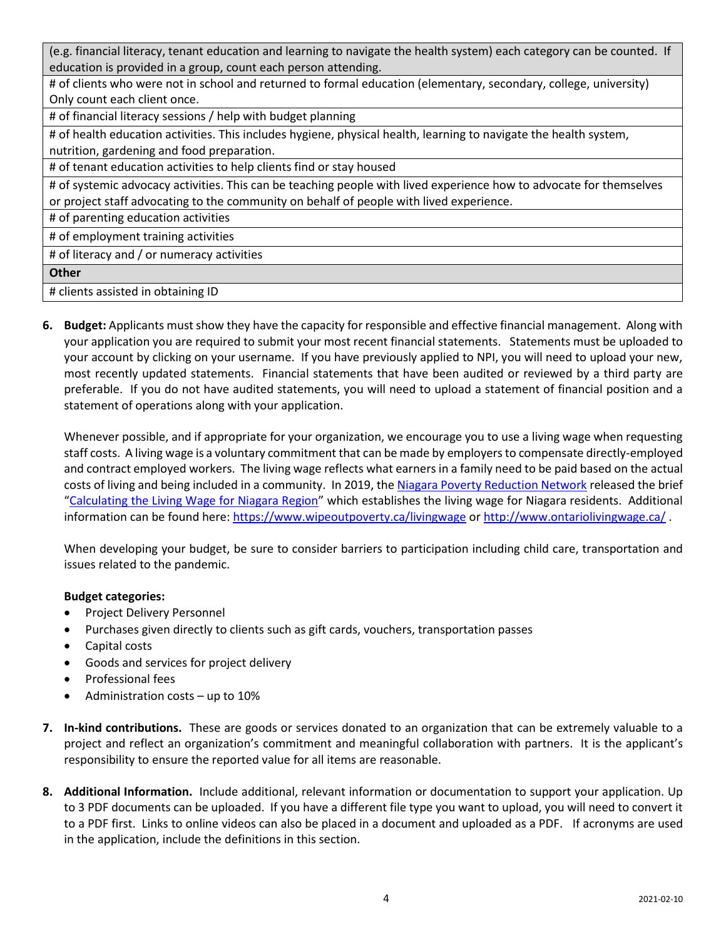(e.g. financial literacy, tenant education and learning to navigate the health system) each category can be counted. If education is provided in a group, count each person attending.

# of clients who were not in school and returned to formal education (elementary, secondary, college, university) Only count each client once.

# of financial literacy sessions / help with budget planning

# of health education activities. This includes hygiene, physical health, learning to navigate the health system, nutrition, gardening and food preparation.

# of tenant education activities to help clients find or stay housed

# of systemic advocacy activities. This can be teaching people with lived experience how to advocate for themselves or project staff advocating to the community on behalf of people with lived experience.

# of parenting education activities

# of employment training activities

# of literacy and / or numeracy activities

**Other**

# clients assisted in obtaining ID

**6. Budget:** Applicants must show they have the capacity for responsible and effective financial management. Along with your application you are required to submit your most recent financial statements. Statements must be uploaded to your account by clicking on your username. If you have previously applied to NPI, you will need to upload your new, most recently updated statements. Financial statements that have been audited or reviewed by a third party are preferable. If you do not have audited statements, you will need to upload a statement of financial position and a statement of operations along with your application.

Whenever possible, and if appropriate for your organization, we encourage you to use a living wage when requesting staff costs. A living wage is a voluntary commitment that can be made by employers to compensate directly-employed and contract employed workers. The living wage reflects what earners in a family need to be paid based on the actual costs of living and being included in a community. In 2019, the [Niagara Poverty Reduction Network](https://www.wipeoutpoverty.ca/) released the brief "[Calculating the Living Wage for Niagara Region](https://12e537f2-590e-b160-f334-1b0438a32212.filesusr.com/ugd/8ea78d_002322b559a749d2aba29fb7b3992a9e.pdf)" which establishes the living wage for Niagara residents. Additional information can be found here: <https://www.wipeoutpoverty.ca/livingwage> or<http://www.ontariolivingwage.ca/>.

When developing your budget, be sure to consider barriers to participation including child care, transportation and issues related to the pandemic.

# **Budget categories:**

- Project Delivery Personnel
- Purchases given directly to clients such as gift cards, vouchers, transportation passes
- Capital costs
- Goods and services for project delivery
- Professional fees
- Administration costs up to 10%
- **7. In-kind contributions.** These are goods or services donated to an organization that can be extremely valuable to a project and reflect an organization's commitment and meaningful collaboration with partners. It is the applicant's responsibility to ensure the reported value for all items are reasonable.
- **8. Additional Information.** Include additional, relevant information or documentation to support your application. Up to 3 PDF documents can be uploaded. If you have a different file type you want to upload, you will need to convert it to a PDF first. Links to online videos can also be placed in a document and uploaded as a PDF. If acronyms are used in the application, include the definitions in this section.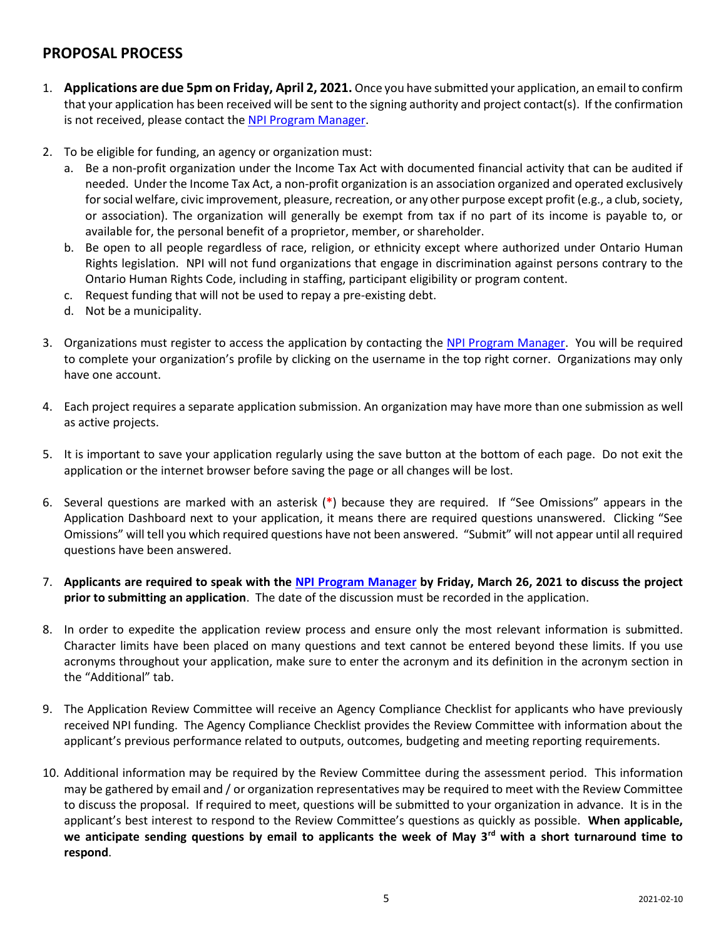# **PROPOSAL PROCESS**

- 1. **Applications are due 5pm on Friday, April 2, 2021.** Once you have submitted your application, an email to confirm that your application has been received will be sent to the signing authority and project contact(s). If the confirmation is not received, please contact the [NPI Program Manager.](mailto:natalie@unitedwayniagara.org)
- 2. To be eligible for funding, an agency or organization must:
	- a. Be a non-profit organization under the Income Tax Act with documented financial activity that can be audited if needed. Under the Income Tax Act, a non-profit organization is an association organized and operated exclusively for social welfare, civic improvement, pleasure, recreation, or any other purpose except profit (e.g., a club, society, or association). The organization will generally be exempt from tax if no part of its income is payable to, or available for, the personal benefit of a proprietor, member, or shareholder.
	- b. Be open to all people regardless of race, religion, or ethnicity except where authorized under Ontario Human Rights legislation. NPI will not fund organizations that engage in discrimination against persons contrary to the Ontario Human Rights Code, including in staffing, participant eligibility or program content.
	- c. Request funding that will not be used to repay a pre-existing debt.
	- d. Not be a municipality.
- 3. Organizations must register to access the application by contacting the [NPI Program Manager.](mailto:natalie@unitedwayniagara.org) You will be required to complete your organization's profile by clicking on the username in the top right corner. Organizations may only have one account.
- 4. Each project requires a separate application submission. An organization may have more than one submission as well as active projects.
- 5. It is important to save your application regularly using the save button at the bottom of each page. Do not exit the application or the internet browser before saving the page or all changes will be lost.
- 6. Several questions are marked with an asterisk (**\***) because they are required. If "See Omissions" appears in the Application Dashboard next to your application, it means there are required questions unanswered. Clicking "See Omissions" will tell you which required questions have not been answered. "Submit" will not appear until all required questions have been answered.
- 7. **Applicants are required to speak with the [NPI Program Manager](mailto:natalie@unitedwayniagara.org) by Friday, March 26, 2021 to discuss the project prior to submitting an application**. The date of the discussion must be recorded in the application.
- 8. In order to expedite the application review process and ensure only the most relevant information is submitted. Character limits have been placed on many questions and text cannot be entered beyond these limits. If you use acronyms throughout your application, make sure to enter the acronym and its definition in the acronym section in the "Additional" tab.
- 9. The Application Review Committee will receive an Agency Compliance Checklist for applicants who have previously received NPI funding. The Agency Compliance Checklist provides the Review Committee with information about the applicant's previous performance related to outputs, outcomes, budgeting and meeting reporting requirements.
- 10. Additional information may be required by the Review Committee during the assessment period. This information may be gathered by email and / or organization representatives may be required to meet with the Review Committee to discuss the proposal. If required to meet, questions will be submitted to your organization in advance. It is in the applicant's best interest to respond to the Review Committee's questions as quickly as possible. **When applicable, we anticipate sending questions by email to applicants the week of May 3rd with a short turnaround time to respond**.